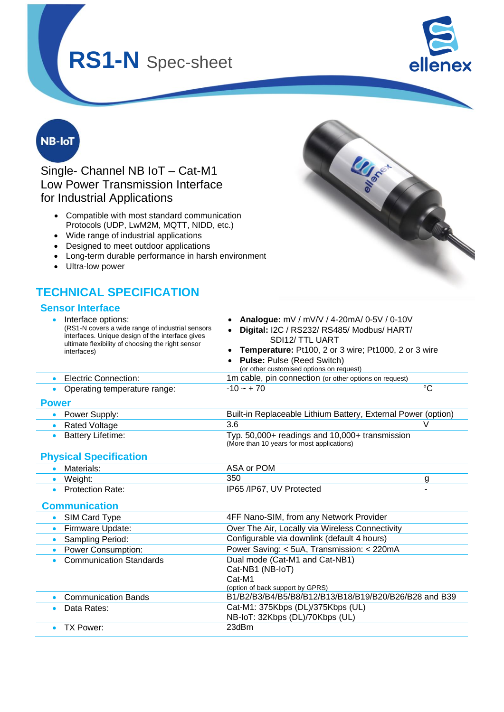

**LIASE** 

## **NB-IoT**

Single- Channel NB IoT – Cat-M1 Low Power Transmission Interface for Industrial Applications

- Compatible with most standard communication Protocols (UDP, LwM2M, MQTT, NIDD, etc.)
- Wide range of industrial applications
- Designed to meet outdoor applications
- Long-term durable performance in harsh environment
- Ultra-low power

## **TECHNICAL SPECIFICATION**

#### **Sensor Interface**



• Communication Bands B1/B2/B3/B4/B5/B8/B12/B13/B18/B19/B20/B26/B28 and B39

NB-IoT: 32Kbps (DL)/70Kbps (UL)

• Data Rates: Cat-M1: 375Kbps (DL)/375Kbps (UL)

• TX Power: 23dBm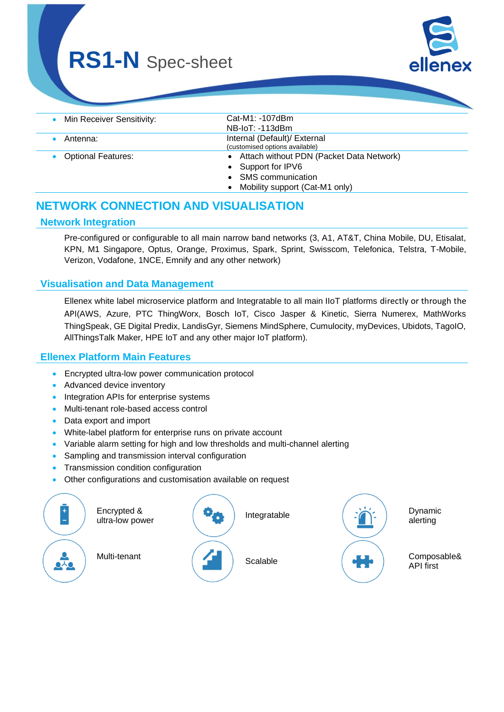

| • Min Receiver Sensitivity: | Cat-M1: -107dBm                            |
|-----------------------------|--------------------------------------------|
|                             | NB-IoT: -113dBm                            |
| Antenna:                    | Internal (Default)/ External               |
|                             | (customised options available)             |
| • Optional Features:        | • Attach without PDN (Packet Data Network) |
|                             | • Support for IPV6                         |
|                             | <b>SMS</b> communication                   |
|                             | Mobility support (Cat-M1 only)             |
|                             |                                            |

## **NETWORK CONNECTION AND VISUALISATION**

#### **Network Integration**

Pre-configured or configurable to all main narrow band networks (3, A1, AT&T, China Mobile, DU, Etisalat, KPN, M1 Singapore, Optus, Orange, Proximus, Spark, Sprint, Swisscom, Telefonica, Telstra, T-Mobile, Verizon, Vodafone, 1NCE, Emnify and any other network)

#### **Visualisation and Data Management**

Ellenex white label microservice platform and Integratable to all main IIoT platforms directly or through the API(AWS, Azure, PTC ThingWorx, Bosch IoT, Cisco Jasper & Kinetic, Sierra Numerex, MathWorks ThingSpeak, GE Digital Predix, LandisGyr, Siemens MindSphere, Cumulocity, myDevices, Ubidots, TagoIO, AllThingsTalk Maker, HPE IoT and any other major IoT platform).

#### **Ellenex Platform Main Features**

- Encrypted ultra-low power communication protocol
- Advanced device inventory
- Integration APIs for enterprise systems
- Multi-tenant role-based access control
- Data export and import
- White-label platform for enterprise runs on private account
- Variable alarm setting for high and low thresholds and multi-channel alerting
- Sampling and transmission interval configuration
- Transmission condition configuration
- Other configurations and customisation available on request

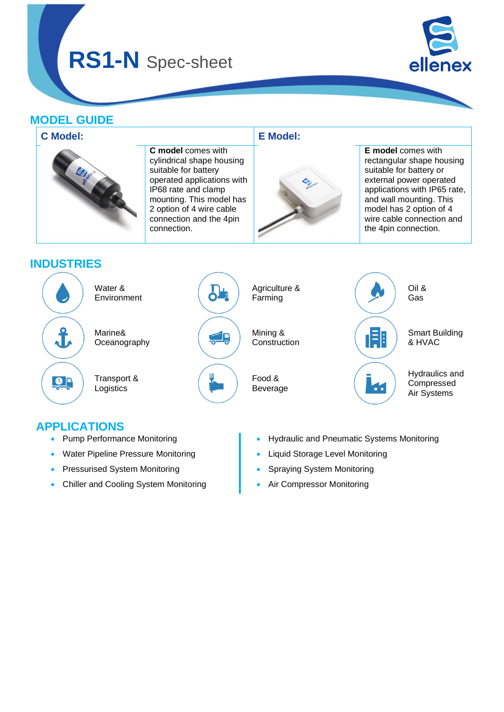

### **MODEL GUIDE**



## **APPLICATIONS**

- Pump Performance Monitoring
- Water Pipeline Pressure Monitoring
- Pressurised System Monitoring
- Chiller and Cooling System Monitoring
- Hydraulic and Pneumatic Systems Monitoring
- Liquid Storage Level Monitoring
- Spraying System Monitoring
- Air Compressor Monitoring